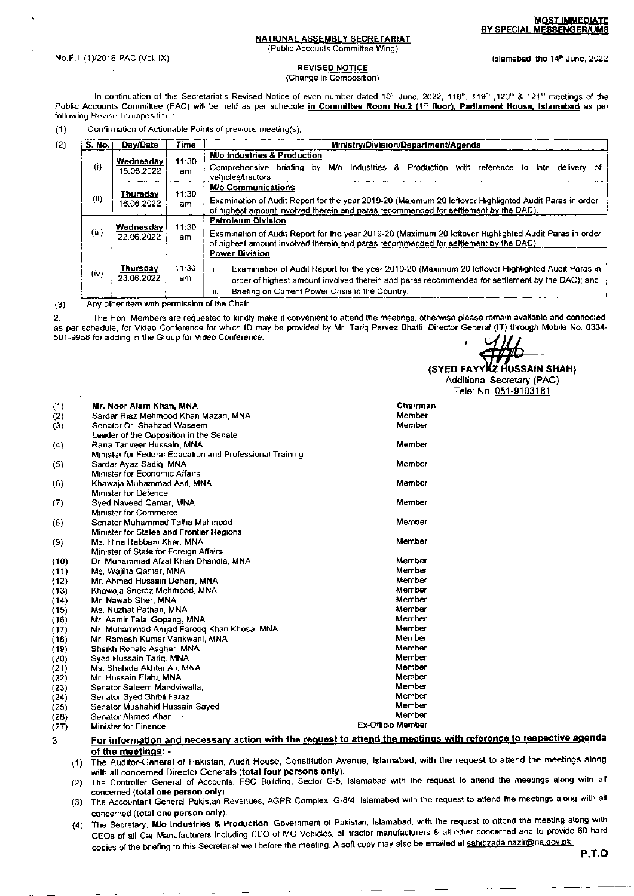#### NATIONAL ASSEMBLY SECRETARIAT (Public Accounts Committee Wing)

No.F.1 (1)/2018-PAC (Vol. IX)

## **REVISED NOTICE**

# (Change in Composition)

In continuation of this Secretariat's Revised Notice of even number dated 10<sup>m</sup> June, 2022, 118<sup>th</sup>, 119<sup>th</sup>, 120<sup>th</sup> & 121<sup>st</sup> meetings of the Public Accounts Committee (PAC) will be held as per schedule in Committee Room No.2 (1st floor), Parliament House, Islamabad as per following Revised composition.:

| (1) | Confirmation of Actionable Points of previous meeting(s) |  |  |  |
|-----|----------------------------------------------------------|--|--|--|
|-----|----------------------------------------------------------|--|--|--|

| (2) | S. No.            | Day/Date                | Time         | Ministry/Division/Department/Agenda                                                                                                                                                                                                                                                   |  |  |
|-----|-------------------|-------------------------|--------------|---------------------------------------------------------------------------------------------------------------------------------------------------------------------------------------------------------------------------------------------------------------------------------------|--|--|
|     | $\left( i\right)$ | Wednesday<br>15.06.2022 | 11:30<br>am. | <b>M/o industries &amp; Production</b><br>M/o Industries & Production with reference to<br>Comprehensive briefing<br>bγ<br>late delivery of<br>vehicles/tractors.                                                                                                                     |  |  |
|     | (ii)              | Thursdav<br>16.06.2022  | 11:30<br>am  | <b>M/o Communications</b><br>Examination of Audit Report for the year 2019-20 (Maximum 20 leftover Highlighted Audit Paras in order<br>of highest amount involved therein and paras recommended for settlement by the DAC).                                                           |  |  |
|     | (iii)             | Wednesday<br>22.06.2022 | 11:30<br>am  | <b>Petroleum Division</b><br>Examination of Audit Report for the year 2019-20 (Maximum 20 leftover Highlighted Audit Paras in order<br>of highest amount involved therein and paras recommended for settlement by the DAC).                                                           |  |  |
|     | (iv)              | Thursday<br>23.06.2022  | 11:30<br>am. | <b>Power Division</b><br>Examination of Audit Report for the year 2019-20 (Maximum 20 leftover Highlighted Audit Paras in<br>order of highest amount involved therein and paras recommended for settlement by the DAC); and<br>Briefing on Current Power Crisis in the Country.<br>п. |  |  |

Any other item with permission of the Chair.  $(3)$ 

 $3<sub>l</sub>$ 

The Hon. Members are requested to kindly make it convenient to attend the meetings, otherwise please remain available and connected,  $\overline{2}$ as per schedule, for Video Conference for which ID may be provided by Mr. Tariq Pervez Bhatti, Director General (IT) through Mobile No. 0334-501-9958 for adding in the Group for Video Conference.

(Z HUSSAIN SHAH) (SYED FAYY Additional Secretary (PAC) Tele: No. 051-9103181

| (1)  | Mr. Noor Alam Khan, MNA                                  | Chairman                 |
|------|----------------------------------------------------------|--------------------------|
| (2)  | Sardar Riaz Mehmood Khan Mazari, MNA                     | Member                   |
| (3)  | Senator Or. Shahzad Waseem                               | Member                   |
|      | Leader of the Opposition in the Senate                   |                          |
| (4)  | Rana Tanveer Hussain, MNA                                | Member                   |
|      | Minister for Federal Education and Professional Training |                          |
| (5)  | Sardar Ayaz Sadiq, MNA                                   | Member                   |
|      | Minister for Economic Affairs                            |                          |
| (6)  | Khawaja Muhammad Asif, MNA                               | Member                   |
|      | <b>Minister for Defence</b>                              |                          |
| (7)  | Syed Naveed Qamar, MNA                                   | Member                   |
|      | <b>Minister for Commerce</b>                             |                          |
| (8)  | Senator Muhammad Talha Mahmood                           | Member                   |
|      | Minister for States and Frontier Regions                 |                          |
| (9)  | Ms, Hina Rabbani Khar, MNA                               | Member                   |
|      | Minister of State for Foreign Affairs                    |                          |
| (10) | Dr. Muhammad Afzal Khan Dhandla, MNA                     | Member                   |
| (11) | Ms, Wajiha Qamar, MNA                                    | Member                   |
| (12) | Mr. Ahmed Hussain Deharr, MNA                            | Member                   |
| (13) | Khawaia Sheraz Mehmood, MNA                              | Member                   |
| (14) | Mr. Nawab Sher, MNA                                      | Member                   |
| (15) | Ms. Nuzhat Pathan, MNA                                   | Member                   |
| (16) | Mr. Aamir Talal Gopang, MNA                              | Member                   |
| (17) | Mr. Muhammad Amjad Faroog Khan Khosa, MNA                | Member                   |
| (18) | Mr. Ramesh Kumar Vankwani, MNA                           | Member                   |
| (19) | Sheikh Rohale Asghar, MNA                                | Member                   |
| (20) | Syed Hussain Tariq, MNA                                  | Member                   |
| (21) | Ms, Shahida Akhtar Ali, MNA                              | Member                   |
| (22) | Mr. Hussain Elahi, MNA                                   | Member                   |
| (23) | Senator Saleem Mandviwalla,                              | Member                   |
| (24) | Senator Syed Shibli Faraz                                | Member                   |
| (25) | Senator Mushahid Hussain Sayed                           | Member                   |
| (26) | Senator Ahmed Khan                                       | Member                   |
| (27) | <b>Minister for Finance</b>                              | <b>Ex-Officio Member</b> |

## For information and necessary action with the request to attend the meetings with reference to respective agenda of the meetings: -

- (1) The Auditor-General of Pakistan, Audit House, Constitution Avenue, Islamabad, with the request to attend the meetings along with all concerned Director Generals (total four persons only).
- (2) The Controller General of Accounts, FBC Building, Sector G-5, Islamabad with the request to attend the meetings along with all concerned (total one person only).
- (3) The Accountant General Pakistan Revenues, AGPR Complex, G-8/4, Islamabad with the request to attend the meetings along with all concerned (total one person only).
- The Secretary, M/o Industries & Production, Government of Pakistan, Islamabad, with the request to attend the meeting along with  $(4)$ CEOs of all Car Manufacturers including CEO of MG Vehicles, all tractor manufacturers & all other concerned and to provide 60 hard copies of the briefing to this Secretariat well before the meeting. A soft copy may also be emailed at sahibzada.nazir@na.gov.pk.